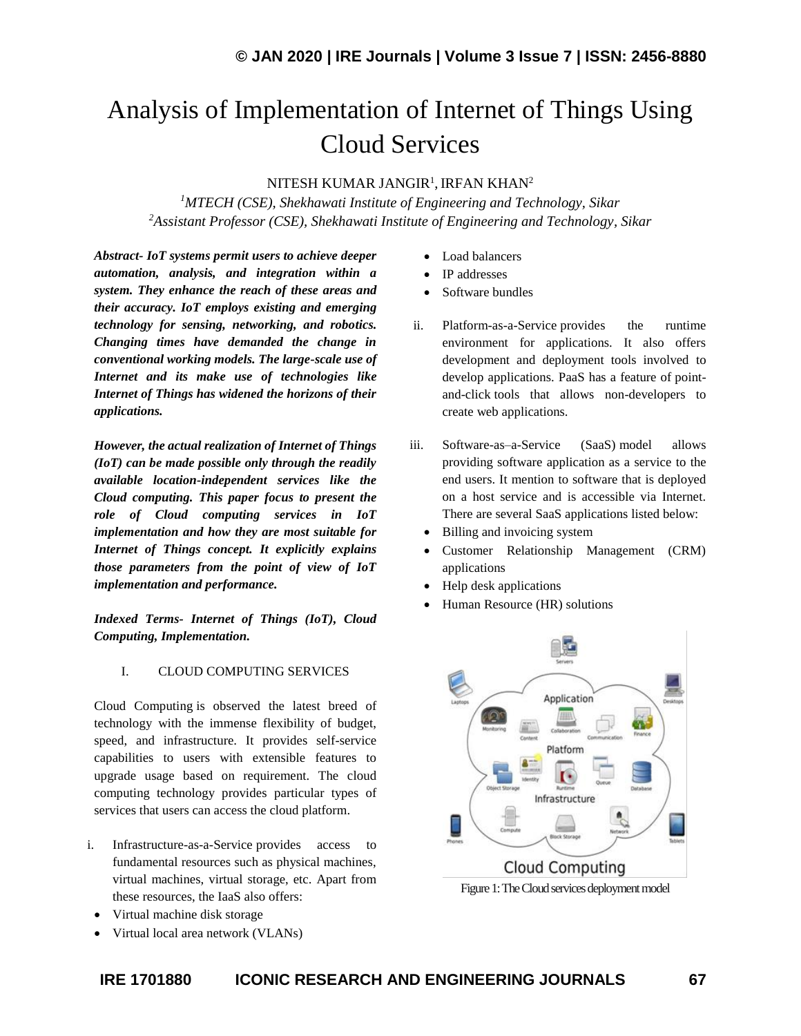# Analysis of Implementation of Internet of Things Using Cloud Services

## NITESH KUMAR JANGIR<sup>1</sup>, IRFAN KHAN $^2$

*<sup>1</sup>MTECH (CSE), Shekhawati Institute of Engineering and Technology, Sikar <sup>2</sup>Assistant Professor (CSE), Shekhawati Institute of Engineering and Technology, Sikar*

*Abstract- IoT systems permit users to achieve deeper automation, analysis, and integration within a system. They enhance the reach of these areas and their accuracy. IoT employs existing and emerging technology for sensing, networking, and robotics. Changing times have demanded the change in conventional working models. The large-scale use of Internet and its make use of technologies like Internet of Things has widened the horizons of their applications.* 

*However, the actual realization of Internet of Things (IoT) can be made possible only through the readily available location-independent services like the Cloud computing. This paper focus to present the role of Cloud computing services in IoT implementation and how they are most suitable for Internet of Things concept. It explicitly explains those parameters from the point of view of IoT implementation and performance.*

*Indexed Terms- Internet of Things (IoT), Cloud Computing, Implementation.*

## I. CLOUD COMPUTING SERVICES

Cloud Computing is observed the latest breed of technology with the immense flexibility of budget, speed, and infrastructure. It provides self-service capabilities to users with extensible features to upgrade usage based on requirement. The cloud computing technology provides particular types of services that users can access the cloud platform.

- i. Infrastructure-as-a-Service provides access to fundamental resources such as physical machines, virtual machines, virtual storage, etc. Apart from these resources, the IaaS also offers:
	- Virtual machine disk storage
	- Virtual local area network (VLANs)
- Load balancers
- IP addresses
- Software bundles
- ii. Platform-as-a-Service provides the runtime environment for applications. It also offers development and deployment tools involved to develop applications. PaaS has a feature of pointand-click tools that allows non-developers to create web applications.
- iii. Software-as–a-Service (SaaS) model allows providing software application as a service to the end users. It mention to software that is deployed on a host service and is accessible via Internet. There are several SaaS applications listed below:
	- Billing and invoicing system
	- Customer Relationship Management (CRM) applications
	- Help desk applications
	- Human Resource (HR) solutions

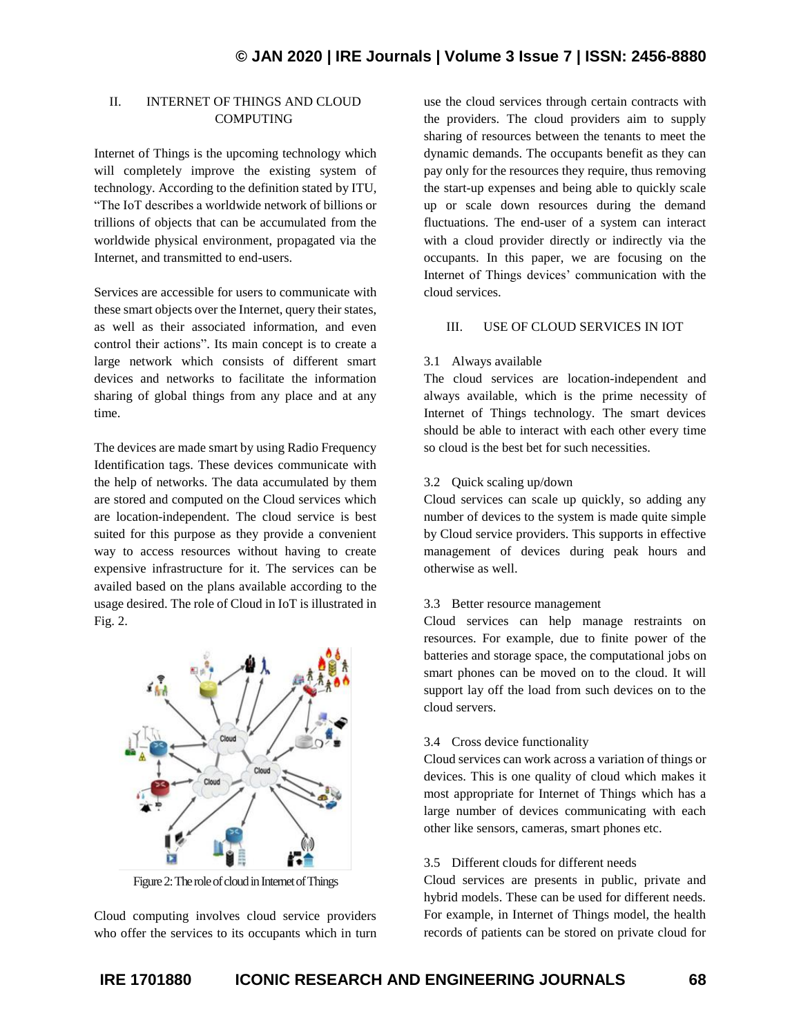## II. INTERNET OF THINGS AND CLOUD **COMPUTING**

Internet of Things is the upcoming technology which will completely improve the existing system of technology. According to the definition stated by ITU, "The IoT describes a worldwide network of billions or trillions of objects that can be accumulated from the worldwide physical environment, propagated via the Internet, and transmitted to end-users.

Services are accessible for users to communicate with these smart objects over the Internet, query their states, as well as their associated information, and even control their actions". Its main concept is to create a large network which consists of different smart devices and networks to facilitate the information sharing of global things from any place and at any time.

The devices are made smart by using Radio Frequency Identification tags. These devices communicate with the help of networks. The data accumulated by them are stored and computed on the Cloud services which are location-independent. The cloud service is best suited for this purpose as they provide a convenient way to access resources without having to create expensive infrastructure for it. The services can be availed based on the plans available according to the usage desired. The role of Cloud in IoT is illustrated in Fig. 2.



Figure 2: The role of cloud in Internet of Things

Cloud computing involves cloud service providers who offer the services to its occupants which in turn use the cloud services through certain contracts with the providers. The cloud providers aim to supply sharing of resources between the tenants to meet the dynamic demands. The occupants benefit as they can pay only for the resources they require, thus removing the start-up expenses and being able to quickly scale up or scale down resources during the demand fluctuations. The end-user of a system can interact with a cloud provider directly or indirectly via the occupants. In this paper, we are focusing on the Internet of Things devices' communication with the cloud services.

## III. USE OF CLOUD SERVICES IN IOT

#### 3.1 Always available

The cloud services are location-independent and always available, which is the prime necessity of Internet of Things technology. The smart devices should be able to interact with each other every time so cloud is the best bet for such necessities.

## 3.2 Quick scaling up/down

Cloud services can scale up quickly, so adding any number of devices to the system is made quite simple by Cloud service providers. This supports in effective management of devices during peak hours and otherwise as well.

## 3.3 Better resource management

Cloud services can help manage restraints on resources. For example, due to finite power of the batteries and storage space, the computational jobs on smart phones can be moved on to the cloud. It will support lay off the load from such devices on to the cloud servers.

#### 3.4 Cross device functionality

Cloud services can work across a variation of things or devices. This is one quality of cloud which makes it most appropriate for Internet of Things which has a large number of devices communicating with each other like sensors, cameras, smart phones etc.

## 3.5 Different clouds for different needs

Cloud services are presents in public, private and hybrid models. These can be used for different needs. For example, in Internet of Things model, the health records of patients can be stored on private cloud for